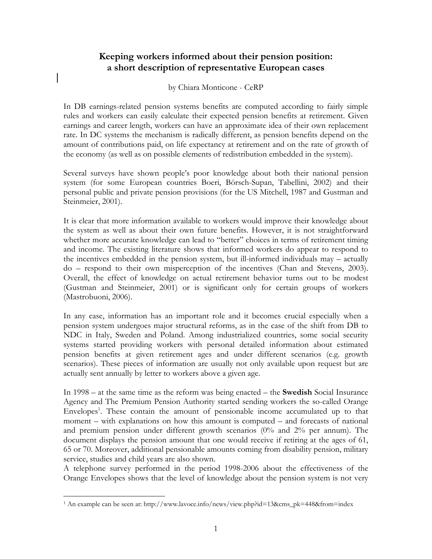## **Keeping workers informed about their pension position: a short description of representative European cases**

by Chiara Monticone - CeRP

In DB earnings-related pension systems benefits are computed according to fairly simple rules and workers can easily calculate their expected pension benefits at retirement. Given earnings and career length, workers can have an approximate idea of their own replacement rate. In DC systems the mechanism is radically different, as pension benefits depend on the amount of contributions paid, on life expectancy at retirement and on the rate of growth of the economy (as well as on possible elements of redistribution embedded in the system).

Several surveys have shown people's poor knowledge about both their national pension system (for some European countries Boeri, Börsch-Supan, Tabellini, 2002) and their personal public and private pension provisions (for the US Mitchell, 1987 and Gustman and Steinmeier, 2001).

It is clear that more information available to workers would improve their knowledge about the system as well as about their own future benefits. However, it is not straightforward whether more accurate knowledge can lead to "better" choices in terms of retirement timing and income. The existing literature shows that informed workers do appear to respond to the incentives embedded in the pension system, but ill-informed individuals may – actually do – respond to their own misperception of the incentives (Chan and Stevens, 2003). Overall, the effect of knowledge on actual retirement behavior turns out to be modest (Gustman and Steinmeier, 2001) or is significant only for certain groups of workers (Mastrobuoni, 2006).

In any case, information has an important role and it becomes crucial especially when a pension system undergoes major structural reforms, as in the case of the shift from DB to NDC in Italy, Sweden and Poland. Among industrialized countries, some social security systems started providing workers with personal detailed information about estimated pension benefits at given retirement ages and under different scenarios (e.g. growth scenarios). These pieces of information are usually not only available upon request but are actually sent annually by letter to workers above a given age.

In 1998 – at the same time as the reform was being enacted – the **Swedish** Social Insurance Agency and The Premium Pension Authority started sending workers the so-called Orange Envelopes<sup>1</sup>. These contain the amount of pensionable income accumulated up to that moment – with explanations on how this amount is computed – and forecasts of national and premium pension under different growth scenarios (0% and 2% per annum). The document displays the pension amount that one would receive if retiring at the ages of 61, 65 or 70. Moreover, additional pensionable amounts coming from disability pension, military service, studies and child years are also shown.

A telephone survey performed in the period 1998-2006 about the effectiveness of the Orange Envelopes shows that the level of knowledge about the pension system is not very

 $\overline{a}$ 1 An example can be seen at: http://www.lavoce.info/news/view.php?id=13&cms\_pk=448&from=index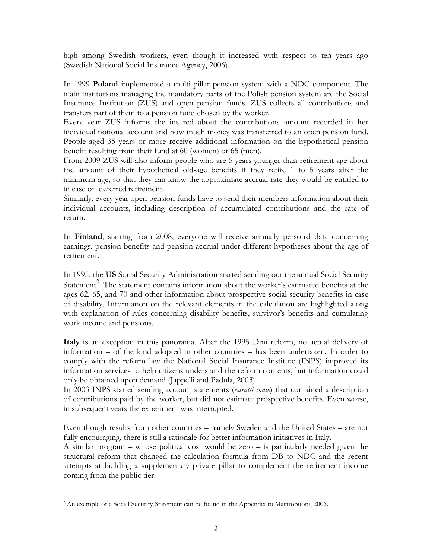high among Swedish workers, even though it increased with respect to ten years ago (Swedish National Social Insurance Agency, 2006).

In 1999 **Poland** implemented a multi-pillar pension system with a NDC component. The main institutions managing the mandatory parts of the Polish pension system are the Social Insurance Institution (ZUS) and open pension funds. ZUS collects all contributions and transfers part of them to a pension fund chosen by the worker.

Every year ZUS informs the insured about the contributions amount recorded in her individual notional account and how much money was transferred to an open pension fund. People aged 35 years or more receive additional information on the hypothetical pension benefit resulting from their fund at 60 (women) or 65 (men).

From 2009 ZUS will also inform people who are 5 years younger than retirement age about the amount of their hypothetical old-age benefits if they retire 1 to 5 years after the minimum age, so that they can know the approximate accrual rate they would be entitled to in case of deferred retirement.

Similarly, every year open pension funds have to send their members information about their individual accounts, including description of accumulated contributions and the rate of return.

In **Finland**, starting from 2008, everyone will receive annually personal data concerning earnings, pension benefits and pension accrual under different hypotheses about the age of retirement.

In 1995, the **US** Social Security Administration started sending out the annual Social Security Statement<sup>2</sup>. The statement contains information about the worker's estimated benefits at the ages 62, 65, and 70 and other information about prospective social security benefits in case of disability. Information on the relevant elements in the calculation are highlighted along with explanation of rules concerning disability benefits, survivor's benefits and cumulating work income and pensions.

**Italy** is an exception in this panorama. After the 1995 Dini reform, no actual delivery of information – of the kind adopted in other countries – has been undertaken. In order to comply with the reform law the National Social Insurance Institute (INPS) improved its information services to help citizens understand the reform contents, but information could only be obtained upon demand (Jappelli and Padula, 2003).

In 2003 INPS started sending account statements (*estratti conto*) that contained a description of contributions paid by the worker, but did not estimate prospective benefits. Even worse, in subsequent years the experiment was interrupted.

Even though results from other countries – namely Sweden and the United States – are not fully encouraging, there is still a rationale for better information initiatives in Italy.

A similar program – whose political cost would be zero – is particularly needed given the structural reform that changed the calculation formula from DB to NDC and the recent attempts at building a supplementary private pillar to complement the retirement income coming from the public tier.

<sup>1</sup> 2 An example of a Social Security Statement can be found in the Appendix to Mastrobuoni, 2006.